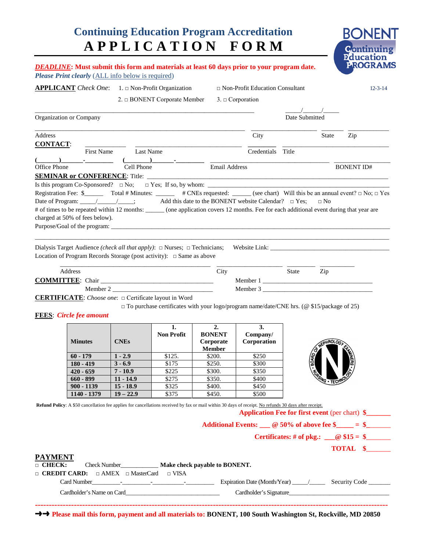# **Continuing Education Program Accreditation A P P L I C A T I O N F O R M**



|                                                        |                                                  |                            | <b>APPLICANT</b> Check One: 1. □ Non-Profit Organization                                                                                                                                                                                                                                                                                                                                               |                                  | $\hfill \Box$ Non-Profit Education Consultant |                                                             |                      |                                                                                                                                                                            |
|--------------------------------------------------------|--------------------------------------------------|----------------------------|--------------------------------------------------------------------------------------------------------------------------------------------------------------------------------------------------------------------------------------------------------------------------------------------------------------------------------------------------------------------------------------------------------|----------------------------------|-----------------------------------------------|-------------------------------------------------------------|----------------------|----------------------------------------------------------------------------------------------------------------------------------------------------------------------------|
|                                                        |                                                  |                            | 2. □ BONENT Corporate Member                                                                                                                                                                                                                                                                                                                                                                           |                                  | $3. \Box$ Corporation                         |                                                             |                      |                                                                                                                                                                            |
|                                                        | Organization or Company                          |                            |                                                                                                                                                                                                                                                                                                                                                                                                        |                                  |                                               | $\frac{1}{2}$ $\frac{1}{2}$ $\frac{1}{2}$<br>Date Submitted |                      |                                                                                                                                                                            |
| Address                                                |                                                  |                            |                                                                                                                                                                                                                                                                                                                                                                                                        |                                  | City                                          |                                                             | State                | Zip                                                                                                                                                                        |
| <b>CONTACT:</b>                                        |                                                  |                            |                                                                                                                                                                                                                                                                                                                                                                                                        |                                  |                                               |                                                             |                      |                                                                                                                                                                            |
|                                                        | First Name                                       | <b>Last Name</b>           |                                                                                                                                                                                                                                                                                                                                                                                                        |                                  | Credentials                                   | Title                                                       |                      |                                                                                                                                                                            |
| Office Phone                                           |                                                  | Cell Phone                 | $\begin{picture}(20,10) \put(0,0){\line(1,0){10}} \put(15,0){\line(1,0){10}} \put(15,0){\line(1,0){10}} \put(15,0){\line(1,0){10}} \put(15,0){\line(1,0){10}} \put(15,0){\line(1,0){10}} \put(15,0){\line(1,0){10}} \put(15,0){\line(1,0){10}} \put(15,0){\line(1,0){10}} \put(15,0){\line(1,0){10}} \put(15,0){\line(1,0){10}} \put(15,0){\line(1$                                                    | Email Address                    |                                               |                                                             |                      |                                                                                                                                                                            |
|                                                        | <b>SEMINAR or CONFERENCE:</b> Title: ___________ |                            |                                                                                                                                                                                                                                                                                                                                                                                                        |                                  |                                               |                                                             |                      | <b>BONENT ID#</b>                                                                                                                                                          |
|                                                        |                                                  |                            |                                                                                                                                                                                                                                                                                                                                                                                                        |                                  |                                               |                                                             |                      |                                                                                                                                                                            |
|                                                        | charged at 50% of fees below).                   |                            | Registration Fee: $\frac{1}{2}$ Total # Minutes: $\frac{1}{2}$ # CNEs requested: $\frac{1}{2}$ (see chart) Will this be an annual event? $\Box$ No; $\Box$ Yes<br>Date of Program: ___________________; Add this date to the BONENT website Calendar? □ Yes;<br>of times to be repeated within 12 months: ______ (one application covers 12 months. Fee for each additional event during that year are |                                  |                                               |                                                             | $\Box$ No            |                                                                                                                                                                            |
|                                                        |                                                  |                            | Location of Program Records Storage (post activity): $\Box$ Same as above                                                                                                                                                                                                                                                                                                                              |                                  |                                               |                                                             |                      |                                                                                                                                                                            |
|                                                        | Address                                          |                            |                                                                                                                                                                                                                                                                                                                                                                                                        | City                             |                                               | State                                                       | Zip                  |                                                                                                                                                                            |
|                                                        |                                                  |                            |                                                                                                                                                                                                                                                                                                                                                                                                        |                                  |                                               |                                                             |                      |                                                                                                                                                                            |
|                                                        |                                                  |                            |                                                                                                                                                                                                                                                                                                                                                                                                        |                                  |                                               |                                                             |                      |                                                                                                                                                                            |
|                                                        |                                                  |                            | Member 2<br>CERTIFICATE: Choose one: $\Box$ Certificate layout in Word                                                                                                                                                                                                                                                                                                                                 |                                  | Member 3                                      |                                                             |                      |                                                                                                                                                                            |
|                                                        | <b>FEES</b> Circle fee amount<br><b>Minutes</b>  | <b>CNEs</b>                | $\square$ To purchase certificates with your logo/program name/date/CNE hrs. (@\$15/package of 25)<br>1.<br><b>Non Profit</b>                                                                                                                                                                                                                                                                          | 2.<br><b>BONENT</b><br>Corporate | 3.<br>Company/<br>Corporation                 |                                                             | <b>HROLOGI</b>       |                                                                                                                                                                            |
|                                                        |                                                  |                            |                                                                                                                                                                                                                                                                                                                                                                                                        | <b>Member</b>                    |                                               |                                                             |                      |                                                                                                                                                                            |
|                                                        | $60 - 179$                                       | $1 - 2.9$<br>$3 - 6.9$     | \$125.<br>\$175                                                                                                                                                                                                                                                                                                                                                                                        | \$200.<br>\$250.                 | \$250<br>\$300                                |                                                             |                      |                                                                                                                                                                            |
|                                                        | $180 - 419$<br>$420 - 659$                       | $7 - 10.9$                 | \$225                                                                                                                                                                                                                                                                                                                                                                                                  | \$300.                           | \$350                                         |                                                             |                      | 孟子・                                                                                                                                                                        |
|                                                        | $660 - 899$                                      | $11 - 14.9$                | \$275                                                                                                                                                                                                                                                                                                                                                                                                  | \$350.                           | \$400                                         |                                                             |                      |                                                                                                                                                                            |
|                                                        | $900 - 1139$<br>1140 - 1379                      | $15 - 18.9$<br>$19 - 22.9$ | \$325<br>\$375                                                                                                                                                                                                                                                                                                                                                                                         | \$400.<br>\$450.                 | \$450<br>\$500                                |                                                             | <b>EVAG . TECHNO</b> |                                                                                                                                                                            |
| <u>PAYMENT</u><br>$\Box$ CHECK:<br>$\Box$ CREDIT CARD: |                                                  |                            | Refund Policy: A \$50 cancellation fee applies for cancellations received by fax or mail within 30 days of receipt. No refunds 30 days after receipt.<br>Check Number_______________ Make check payable to BONENT.<br>$\Box$ AMEX $\Box$ MasterCard $\Box$ VISA                                                                                                                                        |                                  |                                               |                                                             |                      |                                                                                                                                                                            |
|                                                        |                                                  |                            |                                                                                                                                                                                                                                                                                                                                                                                                        |                                  |                                               |                                                             |                      | <b>Application Fee for first event (per chart) \$</b><br>Additional Events: $\_\_$ $@$ 50% of above fee \$ $\_\_$ = \$<br>Certificates: # of pkg.: $@ $15 = $$<br>TOTAL \$ |

→→ Please mail this form, payment and all materials to: BONENT, 100 South Washington St, Rockville, MD 20850